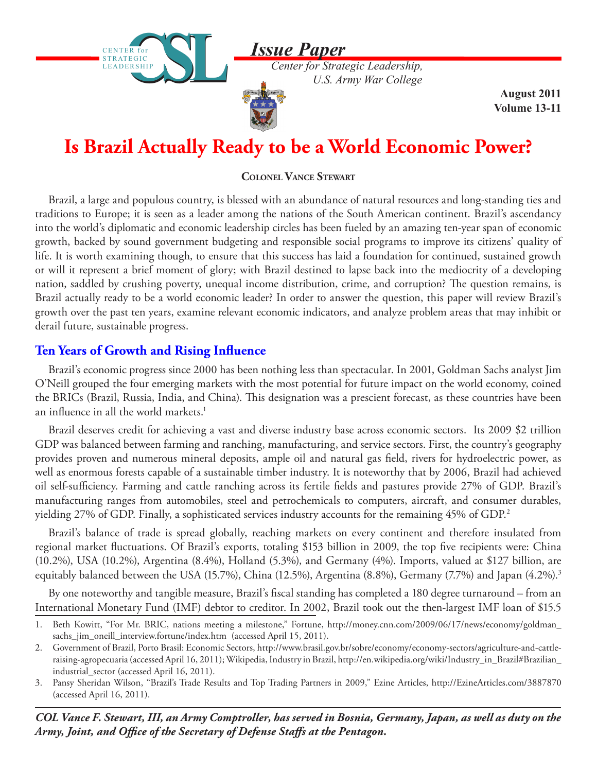

*Center for Strategic Leadership, U.S. Army War College*

> **August 2011 Volume 13-11**

# **Is Brazil Actually Ready to be a World Economic Power?**

**Colonel Vance Stewart**

Brazil, a large and populous country, is blessed with an abundance of natural resources and long-standing ties and traditions to Europe; it is seen as a leader among the nations of the South American continent. Brazil's ascendancy into the world's diplomatic and economic leadership circles has been fueled by an amazing ten-year span of economic growth, backed by sound government budgeting and responsible social programs to improve its citizens' quality of life. It is worth examining though, to ensure that this success has laid a foundation for continued, sustained growth or will it represent a brief moment of glory; with Brazil destined to lapse back into the mediocrity of a developing nation, saddled by crushing poverty, unequal income distribution, crime, and corruption? The question remains, is Brazil actually ready to be a world economic leader? In order to answer the question, this paper will review Brazil's growth over the past ten years, examine relevant economic indicators, and analyze problem areas that may inhibit or derail future, sustainable progress.

# **Ten Years of Growth and Rising Influence**

CENTER for STRATEGIC LEADERSHIP

**STRATEGIC** LEADERSHIP

Brazil's economic progress since 2000 has been nothing less than spectacular. In 2001, Goldman Sachs analyst Jim O'Neill grouped the four emerging markets with the most potential for future impact on the world economy, coined the BRICs (Brazil, Russia, India, and China). This designation was a prescient forecast, as these countries have been an influence in all the world markets.<sup>1</sup>

Brazil deserves credit for achieving a vast and diverse industry base across economic sectors. Its 2009 \$2 trillion GDP was balanced between farming and ranching, manufacturing, and service sectors. First, the country's geography provides proven and numerous mineral deposits, ample oil and natural gas field, rivers for hydroelectric power, as well as enormous forests capable of a sustainable timber industry. It is noteworthy that by 2006, Brazil had achieved oil self-sufficiency. Farming and cattle ranching across its fertile fields and pastures provide 27% of GDP. Brazil's manufacturing ranges from automobiles, steel and petrochemicals to computers, aircraft, and consumer durables, yielding 27% of GDP. Finally, a sophisticated services industry accounts for the remaining 45% of GDP.2

Brazil's balance of trade is spread globally, reaching markets on every continent and therefore insulated from regional market fluctuations. Of Brazil's exports, totaling \$153 billion in 2009, the top five recipients were: China (10.2%), USA (10.2%), Argentina (8.4%), Holland (5.3%), and Germany (4%). Imports, valued at \$127 billion, are equitably balanced between the USA (15.7%), China (12.5%), Argentina (8.8%), Germany (7.7%) and Japan (4.2%).<sup>3</sup>

By one noteworthy and tangible measure, Brazil's fiscal standing has completed a 180 degree turnaround – from an International Monetary Fund (IMF) debtor to creditor. In 2002, Brazil took out the then-largest IMF loan of \$15.5

*COL Vance F. Stewart, III, an Army Comptroller, has served in Bosnia, Germany, Japan, as well as duty on the Army, Joint, and Office of the Secretary of Defense Staffs at the Pentagon.* 

<sup>1.</sup> Beth Kowitt, "For Mr. BRIC, nations meeting a milestone," Fortune, http://money.cnn.com/2009/06/17/news/economy/goldman\_ sachs\_jim\_oneill\_interview.fortune/index.htm (accessed April 15, 2011).

<sup>2.</sup> Government of Brazil, Porto Brasil: Economic Sectors, http://www.brasil.gov.br/sobre/economy/economy-sectors/agriculture-and-cattleraising-agropecuaria (accessed April 16, 2011); Wikipedia, Industry in Brazil, http://en.wikipedia.org/wiki/Industry\_in\_Brazil#Brazilian\_ industrial\_sector (accessed April 16, 2011).

<sup>3.</sup> Pansy Sheridan Wilson, "Brazil's Trade Results and Top Trading Partners in 2009," Ezine Articles, <http://EzineArticles.com/3887870> (accessed April 16, 2011).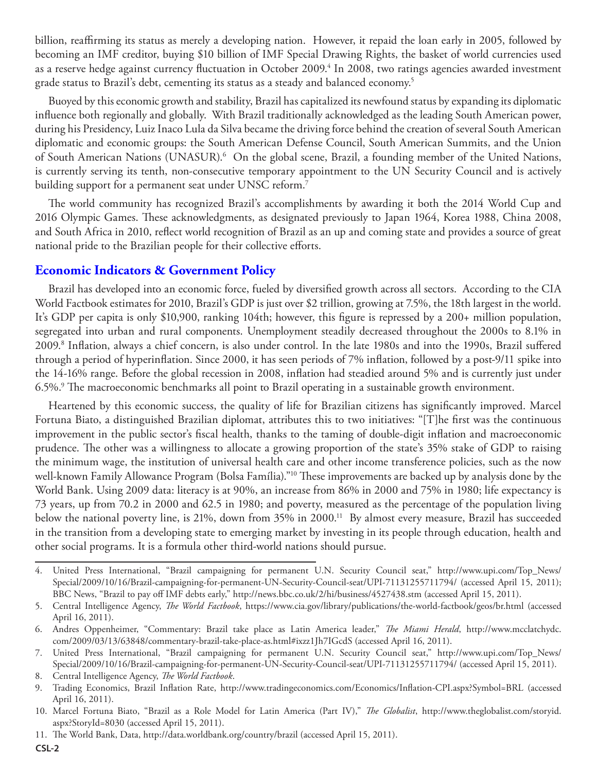billion, reaffirming its status as merely a developing nation. However, it repaid the loan early in 2005, followed by becoming an IMF creditor, buying \$10 billion of IMF Special Drawing Rights, the basket of world currencies used as a reserve hedge against currency fluctuation in October 2009.<sup>4</sup> In 2008, two ratings agencies awarded investment grade status to Brazil's debt, cementing its status as a steady and balanced economy.<sup>5</sup>

Buoyed by this economic growth and stability, Brazil has capitalized its newfound status by expanding its diplomatic influence both regionally and globally. With Brazil traditionally acknowledged as the leading South American power, during his Presidency, Luiz Inaco Lula da Silva became the driving force behind the creation of several South American diplomatic and economic groups: the South American Defense Council, South American Summits, and the Union of South American Nations (UNASUR).<sup>6</sup> On the global scene, Brazil, a founding member of the United Nations, is currently serving its tenth, non-consecutive temporary appointment to the UN Security Council and is actively building support for a permanent seat under UNSC reform.7

The world community has recognized Brazil's accomplishments by awarding it both the 2014 World Cup and 2016 Olympic Games. These acknowledgments, as designated previously to Japan 1964, Korea 1988, China 2008, and South Africa in 2010, reflect world recognition of Brazil as an up and coming state and provides a source of great national pride to the Brazilian people for their collective efforts.

### **Economic Indicators & Government Policy**

Brazil has developed into an economic force, fueled by diversified growth across all sectors. According to the CIA World Factbook estimates for 2010, Brazil's GDP is just over \$2 trillion, growing at 7.5%, the 18th largest in the world. It's GDP per capita is only \$10,900, ranking 104th; however, this figure is repressed by a 200+ million population, segregated into urban and rural components. Unemployment steadily decreased throughout the 2000s to 8.1% in 2009.8 Inflation, always a chief concern, is also under control. In the late 1980s and into the 1990s, Brazil suffered through a period of hyperinflation. Since 2000, it has seen periods of 7% inflation, followed by a post-9/11 spike into the 14-16% range. Before the global recession in 2008, inflation had steadied around 5% and is currently just under 6.5%.9 The macroeconomic benchmarks all point to Brazil operating in a sustainable growth environment.

Heartened by this economic success, the quality of life for Brazilian citizens has significantly improved. Marcel Fortuna Biato, a distinguished Brazilian diplomat, attributes this to two initiatives: "[T]he first was the continuous improvement in the public sector's fiscal health, thanks to the taming of double-digit inflation and macroeconomic prudence. The other was a willingness to allocate a growing proportion of the state's 35% stake of GDP to raising the minimum wage, the institution of universal health care and other income transference policies, such as the now well-known Family Allowance Program (Bolsa Família)."10 These improvements are backed up by analysis done by the World Bank. Using 2009 data: literacy is at 90%, an increase from 86% in 2000 and 75% in 1980; life expectancy is 73 years, up from 70.2 in 2000 and 62.5 in 1980; and poverty, measured as the percentage of the population living below the national poverty line, is 21%, down from 35% in 2000.<sup>11</sup> By almost every measure, Brazil has succeeded in the transition from a developing state to emerging market by investing in its people through education, health and other social programs. It is a formula other third-world nations should pursue.

<sup>4.</sup> United Press International, "Brazil campaigning for permanent U.N. Security Council seat," http://www.upi.com/Top\_News/ Special/2009/10/16/Brazil-campaigning-for-permanent-UN-Security-Council-seat/UPI-71131255711794/ (accessed April 15, 2011); BBC News, "Brazil to pay off IMF debts early," http://news.bbc.co.uk/2/hi/business/4527438.stm (accessed April 15, 2011).

<sup>5.</sup> Central Intelligence Agency, *The World Factbook*, https://www.cia.gov/library/publications/the-world-factbook/geos/br.html (accessed April 16, 2011).

<sup>6.</sup> Andres Oppenheimer, "Commentary: Brazil take place as Latin America leader," *The Miami Herald*, http://www.mcclatchydc. com/2009/03/13/63848/commentary-brazil-take-place-as.html#ixzz1Jh7IGcdS (accessed April 16, 2011).

<sup>7.</sup> United Press International, "Brazil campaigning for permanent U.N. Security Council seat," http://www.upi.com/Top\_News/ Special/2009/10/16/Brazil-campaigning-for-permanent-UN-Security-Council-seat/UPI-71131255711794/ (accessed April 15, 2011).

<sup>8.</sup> Central Intelligence Agency, *The World Factbook*.

<sup>9.</sup> Trading Economics, Brazil Inflation Rate, http://www.tradingeconomics.com/Economics/Inflation-CPI.aspx?Symbol=BRL (accessed April 16, 2011).

<sup>10.</sup> Marcel Fortuna Biato, "Brazil as a Role Model for Latin America (Part IV)," *The Globalist*, http://www.theglobalist.com/storyid. aspx?StoryId=8030 (accessed April 15, 2011).

<sup>11.</sup> The World Bank, Data, http://data.worldbank.org/country/brazil (accessed April 15, 2011).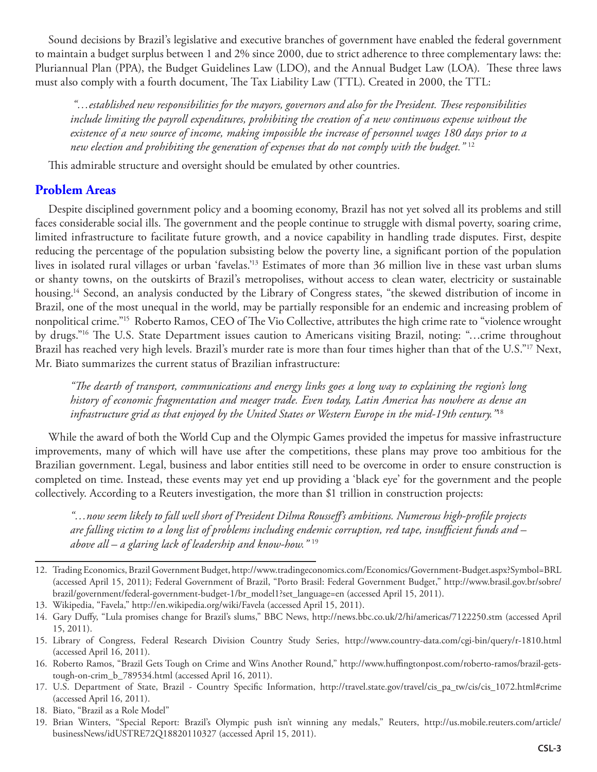Sound decisions by Brazil's legislative and executive branches of government have enabled the federal government to maintain a budget surplus between 1 and 2% since 2000, due to strict adherence to three complementary laws: the: Pluriannual Plan (PPA), the Budget Guidelines Law (LDO), and the Annual Budget Law (LOA). These three laws must also comply with a fourth document, The Tax Liability Law (TTL). Created in 2000, the TTL:

 *"…established new responsibilities for the mayors, governors and also for the President. These responsibilities include limiting the payroll expenditures, prohibiting the creation of a new continuous expense without the existence of a new source of income, making impossible the increase of personnel wages 180 days prior to a new election and prohibiting the generation of expenses that do not comply with the budget."* <sup>12</sup>

This admirable structure and oversight should be emulated by other countries.

## **Problem Areas**

Despite disciplined government policy and a booming economy, Brazil has not yet solved all its problems and still faces considerable social ills. The government and the people continue to struggle with dismal poverty, soaring crime, limited infrastructure to facilitate future growth, and a novice capability in handling trade disputes. First, despite reducing the percentage of the population subsisting below the poverty line, a significant portion of the population lives in isolated rural villages or urban 'favelas.'13 Estimates of more than 36 million live in these vast urban slums or shanty towns, on the outskirts of Brazil's metropolises, without access to clean water, electricity or sustainable housing.<sup>14</sup> Second, an analysis conducted by the Library of Congress states, "the skewed distribution of income in Brazil, one of the most unequal in the world, may be partially responsible for an endemic and increasing problem of nonpolitical crime."15 Roberto Ramos, CEO of The Vio Collective, attributes the high crime rate to "violence wrought by drugs."16 The U.S. State Department issues caution to Americans visiting Brazil, noting: "…crime throughout Brazil has reached very high levels. Brazil's murder rate is more than four times higher than that of the U.S."<sup>17</sup> Next, Mr. Biato summarizes the current status of Brazilian infrastructure:

*"The dearth of transport, communications and energy links goes a long way to explaining the region's long history of economic fragmentation and meager trade. Even today, Latin America has nowhere as dense an infrastructure grid as that enjoyed by the United States or Western Europe in the mid-19th century."*<sup>18</sup>

While the award of both the World Cup and the Olympic Games provided the impetus for massive infrastructure improvements, many of which will have use after the competitions, these plans may prove too ambitious for the Brazilian government. Legal, business and labor entities still need to be overcome in order to ensure construction is completed on time. Instead, these events may yet end up providing a 'black eye' for the government and the people collectively. According to a Reuters investigation, the more than \$1 trillion in construction projects:

*"…now seem likely to fall well short of President Dilma Rousseff's ambitions. Numerous high-profile projects are falling victim to a long list of problems including endemic corruption, red tape, insufficient funds and – above all – a glaring lack of leadership and know-how."* <sup>19</sup>

<sup>12.</sup> Trading Economics, Brazil Government Budget, http://www.tradingeconomics.com/Economics/Government-Budget.aspx?Symbol=BRL (accessed April 15, 2011); Federal Government of Brazil, "Porto Brasil: Federal Government Budget," http://www.brasil.gov.br/sobre/ brazil/government/federal-government-budget-1/br\_model1?set\_language=en (accessed April 15, 2011).

<sup>13.</sup> Wikipedia, "Favela," http://en.wikipedia.org/wiki/Favela (accessed April 15, 2011).

<sup>14.</sup> Gary Duffy, "Lula promises change for Brazil's slums," BBC News, http://news.bbc.co.uk/2/hi/americas/7122250.stm (accessed April 15, 2011).

<sup>15.</sup> Library of Congress, Federal Research Division Country Study Series, http://www.country-data.com/cgi-bin/query/r-1810.html (accessed April 16, 2011).

<sup>16.</sup> Roberto Ramos, "Brazil Gets Tough on Crime and Wins Another Round," http://www.huffingtonpost.com/roberto-ramos/brazil-getstough-on-crim\_b\_789534.html (accessed April 16, 2011).

<sup>17.</sup> U.S. Department of State, Brazil - Country Specific Information, http://travel.state.gov/travel/cis\_pa\_tw/cis/cis\_1072.html#crime (accessed April 16, 2011).

<sup>18.</sup> Biato, "Brazil as a Role Model"

<sup>19.</sup> Brian Winters, "Special Report: Brazil's Olympic push isn't winning any medals," Reuters, http://us.mobile.reuters.com/article/ businessNews/idUSTRE72Q18820110327 (accessed April 15, 2011).